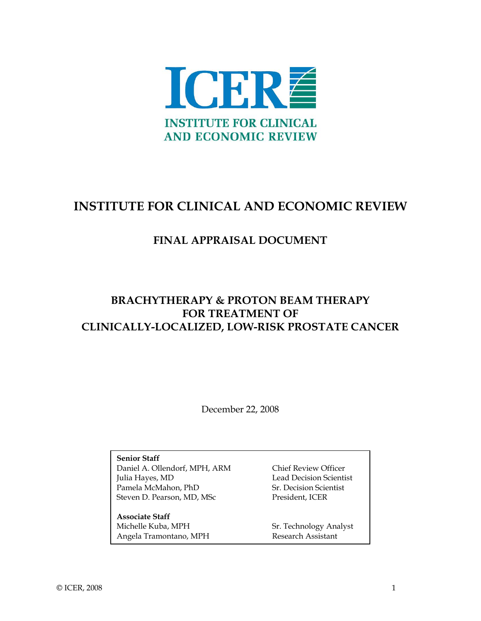

# **INSTITUTE FOR CLINICAL AND ECONOMIC REVIEW**

## **FINAL APPRAISAL DOCUMENT**

## **BRACHYTHERAPY & PROTON BEAM THERAPY FOR TREATMENT OF CLINICALLY-LOCALIZED, LOW-RISK PROSTATE CANCER**

December 22, 2008

**Senior Staff**  Daniel A. Ollendorf, MPH, ARM Chief Review Officer Julia Hayes, MD Lead Decision Scientist Pamela McMahon, PhD Sr. Decision Scientist Steven D. Pearson, MD, MSc President, ICER

**Associate Staff**  Michelle Kuba, MPH Sr. Technology Analyst Angela Tramontano, MPH Research Assistant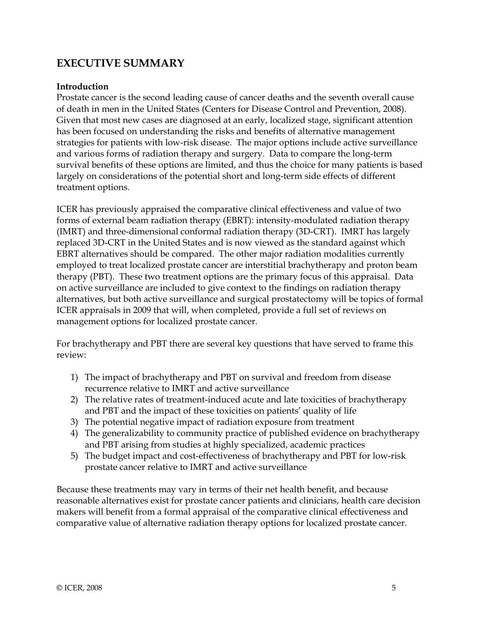## **EXECUTIVE SUMMARY**

### **Introduction**

Prostate cancer is the second leading cause of cancer deaths and the seventh overall cause of death in men in the United States (Centers for Disease Control and Prevention, 2008). Given that most new cases are diagnosed at an early, localized stage, significant attention has been focused on understanding the risks and benefits of alternative management strategies for patients with low-risk disease. The major options include active surveillance and various forms of radiation therapy and surgery. Data to compare the long-term survival benefits of these options are limited, and thus the choice for many patients is based largely on considerations of the potential short and long-term side effects of different treatment options.

ICER has previously appraised the comparative clinical effectiveness and value of two forms of external beam radiation therapy (EBRT): intensity-modulated radiation therapy (IMRT) and three-dimensional conformal radiation therapy (3D-CRT). IMRT has largely replaced 3D-CRT in the United States and is now viewed as the standard against which EBRT alternatives should be compared. The other major radiation modalities currently employed to treat localized prostate cancer are interstitial brachytherapy and proton beam therapy (PBT). These two treatment options are the primary focus of this appraisal. Data on active surveillance are included to give context to the findings on radiation therapy alternatives, but both active surveillance and surgical prostatectomy will be topics of formal ICER appraisals in 2009 that will, when completed, provide a full set of reviews on management options for localized prostate cancer.

For brachytherapy and PBT there are several key questions that have served to frame this review:

- 1) The impact of brachytherapy and PBT on survival and freedom from disease recurrence relative to IMRT and active surveillance
- 2) The relative rates of treatment-induced acute and late toxicities of brachytherapy and PBT and the impact of these toxicities on patients' quality of life
- 3) The potential negative impact of radiation exposure from treatment
- 4) The generalizability to community practice of published evidence on brachytherapy and PBT arising from studies at highly specialized, academic practices
- 5) The budget impact and cost-effectiveness of brachytherapy and PBT for low-risk prostate cancer relative to IMRT and active surveillance

Because these treatments may vary in terms of their net health benefit, and because reasonable alternatives exist for prostate cancer patients and clinicians, health care decision makers will benefit from a formal appraisal of the comparative clinical effectiveness and comparative value of alternative radiation therapy options for localized prostate cancer.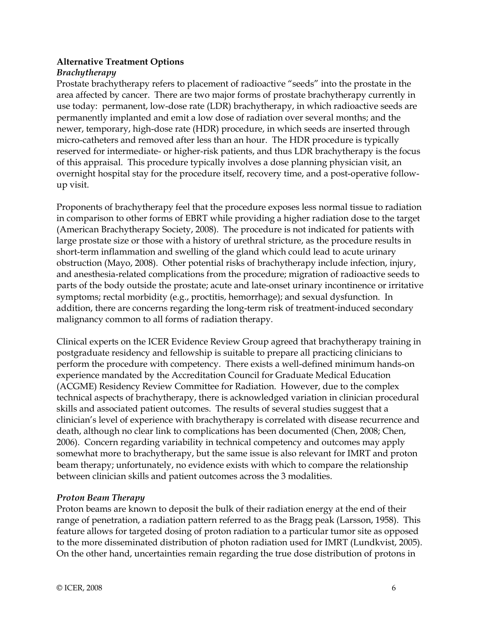## **Alternative Treatment Options**

## *Brachytherapy*

Prostate brachytherapy refers to placement of radioactive "seeds" into the prostate in the area affected by cancer. There are two major forms of prostate brachytherapy currently in use today: permanent, low-dose rate (LDR) brachytherapy, in which radioactive seeds are permanently implanted and emit a low dose of radiation over several months; and the newer, temporary, high-dose rate (HDR) procedure, in which seeds are inserted through micro-catheters and removed after less than an hour. The HDR procedure is typically reserved for intermediate- or higher-risk patients, and thus LDR brachytherapy is the focus of this appraisal. This procedure typically involves a dose planning physician visit, an overnight hospital stay for the procedure itself, recovery time, and a post-operative followup visit.

Proponents of brachytherapy feel that the procedure exposes less normal tissue to radiation in comparison to other forms of EBRT while providing a higher radiation dose to the target (American Brachytherapy Society, 2008). The procedure is not indicated for patients with large prostate size or those with a history of urethral stricture, as the procedure results in short-term inflammation and swelling of the gland which could lead to acute urinary obstruction (Mayo, 2008). Other potential risks of brachytherapy include infection, injury, and anesthesia-related complications from the procedure; migration of radioactive seeds to parts of the body outside the prostate; acute and late-onset urinary incontinence or irritative symptoms; rectal morbidity (e.g., proctitis, hemorrhage); and sexual dysfunction. In addition, there are concerns regarding the long-term risk of treatment-induced secondary malignancy common to all forms of radiation therapy.

Clinical experts on the ICER Evidence Review Group agreed that brachytherapy training in postgraduate residency and fellowship is suitable to prepare all practicing clinicians to perform the procedure with competency. There exists a well-defined minimum hands-on experience mandated by the Accreditation Council for Graduate Medical Education (ACGME) Residency Review Committee for Radiation. However, due to the complex technical aspects of brachytherapy, there is acknowledged variation in clinician procedural skills and associated patient outcomes. The results of several studies suggest that a clinician's level of experience with brachytherapy is correlated with disease recurrence and death, although no clear link to complications has been documented (Chen, 2008; Chen, 2006). Concern regarding variability in technical competency and outcomes may apply somewhat more to brachytherapy, but the same issue is also relevant for IMRT and proton beam therapy; unfortunately, no evidence exists with which to compare the relationship between clinician skills and patient outcomes across the 3 modalities.

## *Proton Beam Therapy*

Proton beams are known to deposit the bulk of their radiation energy at the end of their range of penetration, a radiation pattern referred to as the Bragg peak (Larsson, 1958). This feature allows for targeted dosing of proton radiation to a particular tumor site as opposed to the more disseminated distribution of photon radiation used for IMRT (Lundkvist, 2005). On the other hand, uncertainties remain regarding the true dose distribution of protons in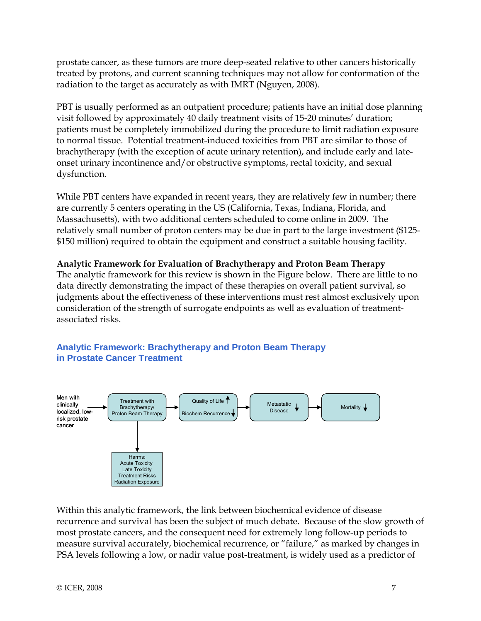prostate cancer, as these tumors are more deep-seated relative to other cancers historically treated by protons, and current scanning techniques may not allow for conformation of the radiation to the target as accurately as with IMRT (Nguyen, 2008).

PBT is usually performed as an outpatient procedure; patients have an initial dose planning visit followed by approximately 40 daily treatment visits of 15-20 minutes' duration; patients must be completely immobilized during the procedure to limit radiation exposure to normal tissue. Potential treatment-induced toxicities from PBT are similar to those of brachytherapy (with the exception of acute urinary retention), and include early and lateonset urinary incontinence and/or obstructive symptoms, rectal toxicity, and sexual dysfunction.

While PBT centers have expanded in recent years, they are relatively few in number; there are currently 5 centers operating in the US (California, Texas, Indiana, Florida, and Massachusetts), with two additional centers scheduled to come online in 2009. The relatively small number of proton centers may be due in part to the large investment (\$125- \$150 million) required to obtain the equipment and construct a suitable housing facility.

#### **Analytic Framework for Evaluation of Brachytherapy and Proton Beam Therapy**

The analytic framework for this review is shown in the Figure below. There are little to no data directly demonstrating the impact of these therapies on overall patient survival, so judgments about the effectiveness of these interventions must rest almost exclusively upon consideration of the strength of surrogate endpoints as well as evaluation of treatmentassociated risks.



## **Analytic Framework: Brachytherapy and Proton Beam Therapy in Prostate Cancer Treatment**

Within this analytic framework, the link between biochemical evidence of disease recurrence and survival has been the subject of much debate. Because of the slow growth of most prostate cancers, and the consequent need for extremely long follow-up periods to measure survival accurately, biochemical recurrence, or "failure," as marked by changes in PSA levels following a low, or nadir value post-treatment, is widely used as a predictor of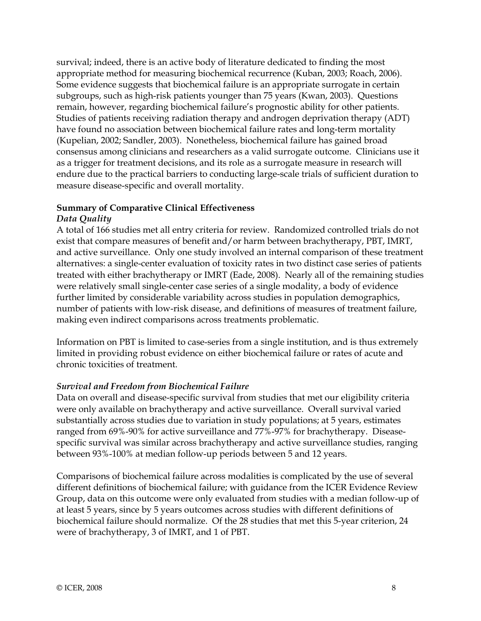survival; indeed, there is an active body of literature dedicated to finding the most appropriate method for measuring biochemical recurrence (Kuban, 2003; Roach, 2006). Some evidence suggests that biochemical failure is an appropriate surrogate in certain subgroups, such as high-risk patients younger than 75 years (Kwan, 2003). Questions remain, however, regarding biochemical failure's prognostic ability for other patients. Studies of patients receiving radiation therapy and androgen deprivation therapy (ADT) have found no association between biochemical failure rates and long-term mortality (Kupelian, 2002; Sandler, 2003). Nonetheless, biochemical failure has gained broad consensus among clinicians and researchers as a valid surrogate outcome. Clinicians use it as a trigger for treatment decisions, and its role as a surrogate measure in research will endure due to the practical barriers to conducting large-scale trials of sufficient duration to measure disease-specific and overall mortality.

#### **Summary of Comparative Clinical Effectiveness**

#### *Data Quality*

A total of 166 studies met all entry criteria for review. Randomized controlled trials do not exist that compare measures of benefit and/or harm between brachytherapy, PBT, IMRT, and active surveillance. Only one study involved an internal comparison of these treatment alternatives: a single-center evaluation of toxicity rates in two distinct case series of patients treated with either brachytherapy or IMRT (Eade, 2008). Nearly all of the remaining studies were relatively small single-center case series of a single modality, a body of evidence further limited by considerable variability across studies in population demographics, number of patients with low-risk disease, and definitions of measures of treatment failure, making even indirect comparisons across treatments problematic.

Information on PBT is limited to case-series from a single institution, and is thus extremely limited in providing robust evidence on either biochemical failure or rates of acute and chronic toxicities of treatment.

#### *Survival and Freedom from Biochemical Failure*

Data on overall and disease-specific survival from studies that met our eligibility criteria were only available on brachytherapy and active surveillance. Overall survival varied substantially across studies due to variation in study populations; at 5 years, estimates ranged from 69%-90% for active surveillance and 77%-97% for brachytherapy. Diseasespecific survival was similar across brachytherapy and active surveillance studies, ranging between 93%-100% at median follow-up periods between 5 and 12 years.

Comparisons of biochemical failure across modalities is complicated by the use of several different definitions of biochemical failure; with guidance from the ICER Evidence Review Group, data on this outcome were only evaluated from studies with a median follow-up of at least 5 years, since by 5 years outcomes across studies with different definitions of biochemical failure should normalize. Of the 28 studies that met this 5-year criterion, 24 were of brachytherapy, 3 of IMRT, and 1 of PBT.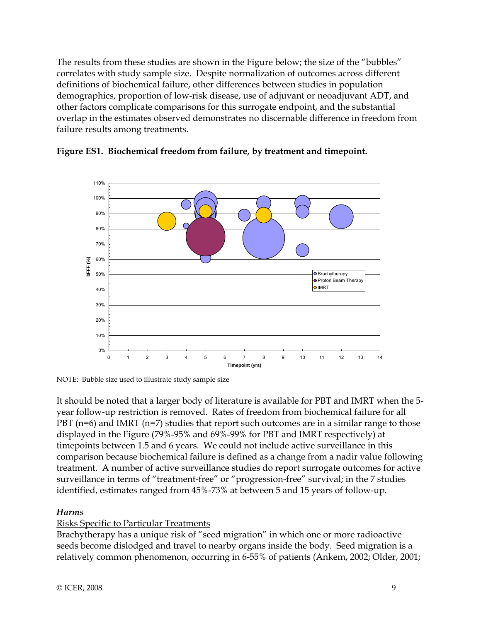The results from these studies are shown in the Figure below; the size of the "bubbles" correlates with study sample size. Despite normalization of outcomes across different definitions of biochemical failure, other differences between studies in population demographics, proportion of low-risk disease, use of adjuvant or neoadjuvant ADT, and other factors complicate comparisons for this surrogate endpoint, and the substantial overlap in the estimates observed demonstrates no discernable difference in freedom from failure results among treatments.





NOTE: Bubble size used to illustrate study sample size

It should be noted that a larger body of literature is available for PBT and IMRT when the 5 year follow-up restriction is removed. Rates of freedom from biochemical failure for all PBT (n=6) and IMRT (n=7) studies that report such outcomes are in a similar range to those displayed in the Figure (79%-95% and 69%-99% for PBT and IMRT respectively) at timepoints between 1.5 and 6 years. We could not include active surveillance in this comparison because biochemical failure is defined as a change from a nadir value following treatment. A number of active surveillance studies do report surrogate outcomes for active surveillance in terms of "treatment-free" or "progression-free" survival; in the 7 studies identified, estimates ranged from 45%-73% at between 5 and 15 years of follow-up.

## *Harms*

## Risks Specific to Particular Treatments

Brachytherapy has a unique risk of "seed migration" in which one or more radioactive seeds become dislodged and travel to nearby organs inside the body. Seed migration is a relatively common phenomenon, occurring in 6-55% of patients (Ankem, 2002; Older, 2001;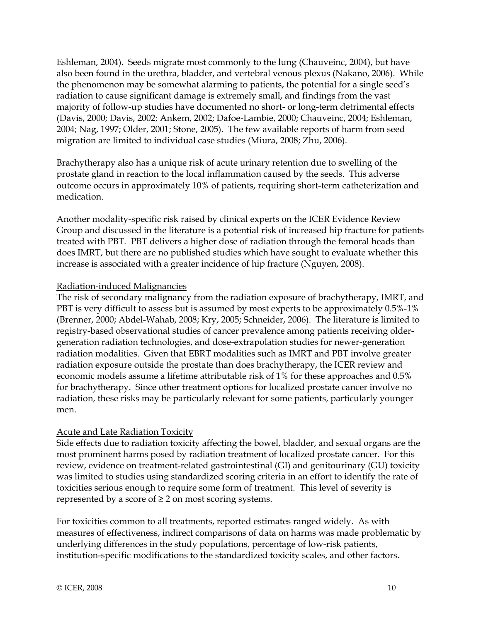Eshleman, 2004). Seeds migrate most commonly to the lung (Chauveinc, 2004), but have also been found in the urethra, bladder, and vertebral venous plexus (Nakano, 2006). While the phenomenon may be somewhat alarming to patients, the potential for a single seed's radiation to cause significant damage is extremely small, and findings from the vast majority of follow-up studies have documented no short- or long-term detrimental effects (Davis, 2000; Davis, 2002; Ankem, 2002; Dafoe-Lambie, 2000; Chauveinc, 2004; Eshleman, 2004; Nag, 1997; Older, 2001; Stone, 2005). The few available reports of harm from seed migration are limited to individual case studies (Miura, 2008; Zhu, 2006).

Brachytherapy also has a unique risk of acute urinary retention due to swelling of the prostate gland in reaction to the local inflammation caused by the seeds. This adverse outcome occurs in approximately 10% of patients, requiring short-term catheterization and medication.

Another modality-specific risk raised by clinical experts on the ICER Evidence Review Group and discussed in the literature is a potential risk of increased hip fracture for patients treated with PBT. PBT delivers a higher dose of radiation through the femoral heads than does IMRT, but there are no published studies which have sought to evaluate whether this increase is associated with a greater incidence of hip fracture (Nguyen, 2008).

#### Radiation-induced Malignancies

The risk of secondary malignancy from the radiation exposure of brachytherapy, IMRT, and PBT is very difficult to assess but is assumed by most experts to be approximately 0.5%-1% (Brenner, 2000; Abdel-Wahab, 2008; Kry, 2005; Schneider, 2006). The literature is limited to registry-based observational studies of cancer prevalence among patients receiving oldergeneration radiation technologies, and dose-extrapolation studies for newer-generation radiation modalities. Given that EBRT modalities such as IMRT and PBT involve greater radiation exposure outside the prostate than does brachytherapy, the ICER review and economic models assume a lifetime attributable risk of 1% for these approaches and 0.5% for brachytherapy. Since other treatment options for localized prostate cancer involve no radiation, these risks may be particularly relevant for some patients, particularly younger men.

## Acute and Late Radiation Toxicity

Side effects due to radiation toxicity affecting the bowel, bladder, and sexual organs are the most prominent harms posed by radiation treatment of localized prostate cancer. For this review, evidence on treatment-related gastrointestinal (GI) and genitourinary (GU) toxicity was limited to studies using standardized scoring criteria in an effort to identify the rate of toxicities serious enough to require some form of treatment. This level of severity is represented by a score of  $\geq 2$  on most scoring systems.

For toxicities common to all treatments, reported estimates ranged widely. As with measures of effectiveness, indirect comparisons of data on harms was made problematic by underlying differences in the study populations, percentage of low-risk patients, institution-specific modifications to the standardized toxicity scales, and other factors.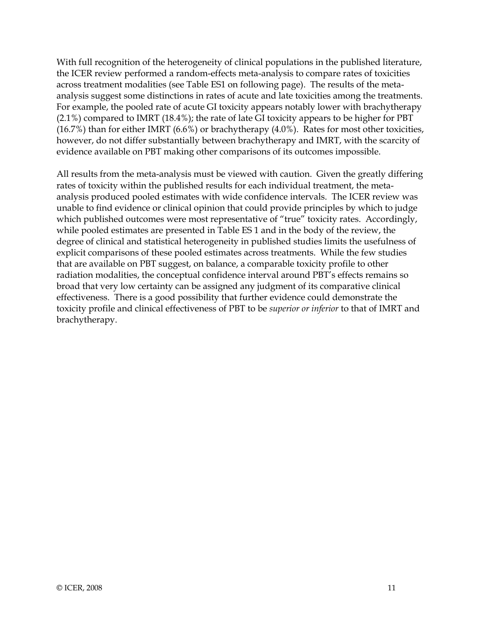With full recognition of the heterogeneity of clinical populations in the published literature, the ICER review performed a random-effects meta-analysis to compare rates of toxicities across treatment modalities (see Table ES1 on following page). The results of the metaanalysis suggest some distinctions in rates of acute and late toxicities among the treatments. For example, the pooled rate of acute GI toxicity appears notably lower with brachytherapy (2.1%) compared to IMRT (18.4%); the rate of late GI toxicity appears to be higher for PBT (16.7%) than for either IMRT (6.6%) or brachytherapy (4.0%). Rates for most other toxicities, however, do not differ substantially between brachytherapy and IMRT, with the scarcity of evidence available on PBT making other comparisons of its outcomes impossible.

All results from the meta-analysis must be viewed with caution. Given the greatly differing rates of toxicity within the published results for each individual treatment, the metaanalysis produced pooled estimates with wide confidence intervals. The ICER review was unable to find evidence or clinical opinion that could provide principles by which to judge which published outcomes were most representative of "true" toxicity rates. Accordingly, while pooled estimates are presented in Table ES 1 and in the body of the review, the degree of clinical and statistical heterogeneity in published studies limits the usefulness of explicit comparisons of these pooled estimates across treatments. While the few studies that are available on PBT suggest, on balance, a comparable toxicity profile to other radiation modalities, the conceptual confidence interval around PBT's effects remains so broad that very low certainty can be assigned any judgment of its comparative clinical effectiveness. There is a good possibility that further evidence could demonstrate the toxicity profile and clinical effectiveness of PBT to be *superior or inferior* to that of IMRT and brachytherapy.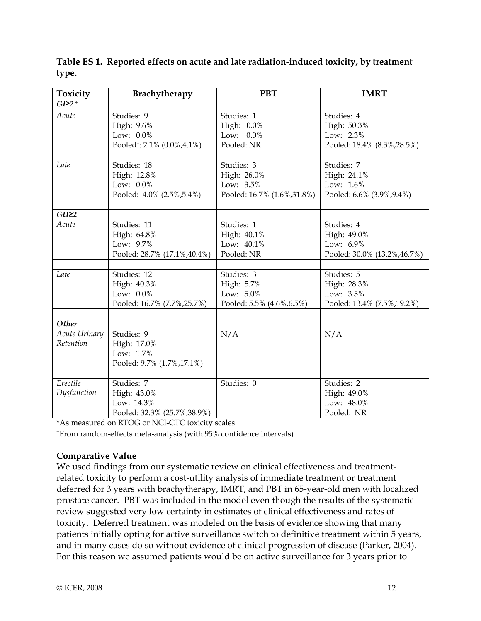| Toxicity          | <b>Brachytherapy</b>                    | <b>PBT</b>                 | <b>IMRT</b>                  |
|-------------------|-----------------------------------------|----------------------------|------------------------------|
| $GI \geq 2$ *     |                                         |                            |                              |
| Acute             | Studies: 9                              | Studies: 1                 | Studies: 4                   |
|                   | High: 9.6%                              | High: 0.0%                 | High: 50.3%                  |
|                   | Low: 0.0%                               | Low: 0.0%                  | Low: 2.3%                    |
|                   | Pooled <sup>†</sup> : 2.1% (0.0%, 4.1%) | Pooled: NR                 | Pooled: 18.4% (8.3%, 28.5%)  |
|                   |                                         |                            |                              |
| Late              | Studies: 18                             | Studies: 3                 | Studies: 7                   |
|                   | High: 12.8%                             | High: 26.0%                | High: 24.1%                  |
|                   | Low: $0.0\%$                            | Low: 3.5%                  | Low: 1.6%                    |
|                   | Pooled: 4.0% (2.5%, 5.4%)               | Pooled: 16.7% (1.6%,31.8%) | Pooled: 6.6% (3.9%, 9.4%)    |
|                   |                                         |                            |                              |
| GU <sub>2</sub> 2 |                                         |                            |                              |
| Acute             | Studies: 11                             | Studies: 1                 | Studies: 4                   |
|                   | High: 64.8%                             | High: 40.1%                | High: 49.0%                  |
|                   | Low: 9.7%                               | Low: 40.1%                 | Low: 6.9%                    |
|                   | Pooled: 28.7% (17.1%, 40.4%)            | Pooled: NR                 | Pooled: 30.0% (13.2%, 46.7%) |
|                   |                                         |                            |                              |
| Late              | Studies: 12                             | Studies: 3                 | Studies: 5                   |
|                   | High: 40.3%                             | High: 5.7%                 | High: 28.3%                  |
|                   | Low: 0.0%                               | Low: 5.0%                  | Low: 3.5%                    |
|                   | Pooled: 16.7% (7.7%, 25.7%)             | Pooled: 5.5% (4.6%, 6.5%)  | Pooled: 13.4% (7.5%, 19.2%)  |
|                   |                                         |                            |                              |
| Other             |                                         |                            |                              |
| Acute Urinary     | Studies: 9                              | N/A                        | N/A                          |
| Retention         | High: 17.0%                             |                            |                              |
|                   | Low: 1.7%                               |                            |                              |
|                   | Pooled: 9.7% (1.7%, 17.1%)              |                            |                              |
|                   |                                         |                            |                              |
| Erectile          | Studies: 7                              | Studies: 0                 | Studies: 2                   |
| Dysfunction       | High: 43.0%                             |                            | High: 49.0%                  |
|                   | Low: 14.3%                              |                            | Low: 48.0%                   |
|                   | Pooled: 32.3% (25.7%, 38.9%)            |                            | Pooled: NR                   |

**Table ES 1. Reported effects on acute and late radiation-induced toxicity, by treatment type.**

\*As measured on RTOG or NCI-CTC toxicity scales

†From random-effects meta-analysis (with 95% confidence intervals)

## **Comparative Value**

We used findings from our systematic review on clinical effectiveness and treatmentrelated toxicity to perform a cost-utility analysis of immediate treatment or treatment deferred for 3 years with brachytherapy, IMRT, and PBT in 65-year-old men with localized prostate cancer. PBT was included in the model even though the results of the systematic review suggested very low certainty in estimates of clinical effectiveness and rates of toxicity. Deferred treatment was modeled on the basis of evidence showing that many patients initially opting for active surveillance switch to definitive treatment within 5 years, and in many cases do so without evidence of clinical progression of disease (Parker, 2004). For this reason we assumed patients would be on active surveillance for 3 years prior to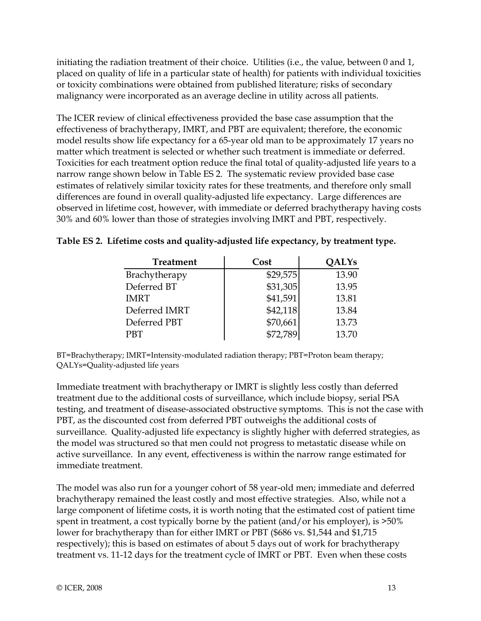initiating the radiation treatment of their choice. Utilities (i.e., the value, between 0 and 1, placed on quality of life in a particular state of health) for patients with individual toxicities or toxicity combinations were obtained from published literature; risks of secondary malignancy were incorporated as an average decline in utility across all patients.

The ICER review of clinical effectiveness provided the base case assumption that the effectiveness of brachytherapy, IMRT, and PBT are equivalent; therefore, the economic model results show life expectancy for a 65-year old man to be approximately 17 years no matter which treatment is selected or whether such treatment is immediate or deferred. Toxicities for each treatment option reduce the final total of quality-adjusted life years to a narrow range shown below in Table ES 2. The systematic review provided base case estimates of relatively similar toxicity rates for these treatments, and therefore only small differences are found in overall quality-adjusted life expectancy. Large differences are observed in lifetime cost, however, with immediate or deferred brachytherapy having costs 30% and 60% lower than those of strategies involving IMRT and PBT, respectively.

| <b>Treatment</b> | Cost     | <b>OALYs</b> |
|------------------|----------|--------------|
| Brachytherapy    | \$29,575 | 13.90        |
| Deferred BT      | \$31,305 | 13.95        |
| <b>IMRT</b>      | \$41,591 | 13.81        |
| Deferred IMRT    | \$42,118 | 13.84        |
| Deferred PBT     | \$70,661 | 13.73        |
| <b>PBT</b>       | \$72,789 | 13.70        |

|  | Table ES 2. Lifetime costs and quality-adjusted life expectancy, by treatment type. |  |  |  |  |  |
|--|-------------------------------------------------------------------------------------|--|--|--|--|--|
|--|-------------------------------------------------------------------------------------|--|--|--|--|--|

BT=Brachytherapy; IMRT=Intensity-modulated radiation therapy; PBT=Proton beam therapy; QALYs=Quality-adjusted life years

Immediate treatment with brachytherapy or IMRT is slightly less costly than deferred treatment due to the additional costs of surveillance, which include biopsy, serial PSA testing, and treatment of disease-associated obstructive symptoms. This is not the case with PBT, as the discounted cost from deferred PBT outweighs the additional costs of surveillance. Quality-adjusted life expectancy is slightly higher with deferred strategies, as the model was structured so that men could not progress to metastatic disease while on active surveillance. In any event, effectiveness is within the narrow range estimated for immediate treatment.

The model was also run for a younger cohort of 58 year-old men; immediate and deferred brachytherapy remained the least costly and most effective strategies. Also, while not a large component of lifetime costs, it is worth noting that the estimated cost of patient time spent in treatment, a cost typically borne by the patient (and/or his employer), is >50% lower for brachytherapy than for either IMRT or PBT (\$686 vs. \$1,544 and \$1,715 respectively); this is based on estimates of about 5 days out of work for brachytherapy treatment vs. 11-12 days for the treatment cycle of IMRT or PBT. Even when these costs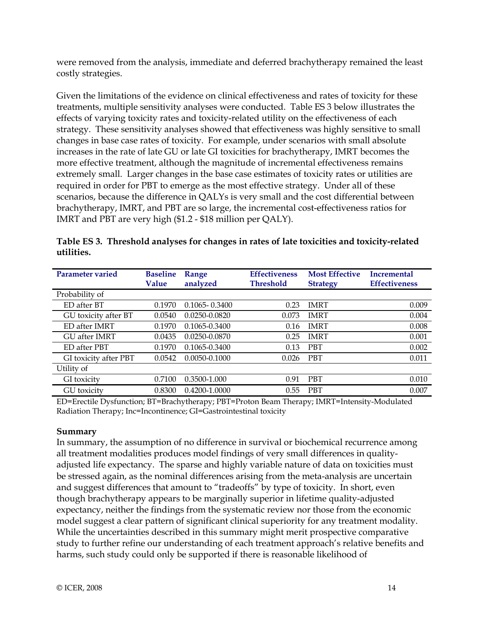were removed from the analysis, immediate and deferred brachytherapy remained the least costly strategies.

Given the limitations of the evidence on clinical effectiveness and rates of toxicity for these treatments, multiple sensitivity analyses were conducted. Table ES 3 below illustrates the effects of varying toxicity rates and toxicity-related utility on the effectiveness of each strategy. These sensitivity analyses showed that effectiveness was highly sensitive to small changes in base case rates of toxicity. For example, under scenarios with small absolute increases in the rate of late GU or late GI toxicities for brachytherapy, IMRT becomes the more effective treatment, although the magnitude of incremental effectiveness remains extremely small. Larger changes in the base case estimates of toxicity rates or utilities are required in order for PBT to emerge as the most effective strategy. Under all of these scenarios, because the difference in QALYs is very small and the cost differential between brachytherapy, IMRT, and PBT are so large, the incremental cost-effectiveness ratios for IMRT and PBT are very high (\$1.2 - \$18 million per QALY).

| <b>Parameter varied</b>     | <b>Baseline</b><br>Value | Range<br>analyzed | <b>Effectiveness</b><br><b>Threshold</b> | <b>Most Effective</b><br><b>Strategy</b> | <b>Incremental</b><br><b>Effectiveness</b> |
|-----------------------------|--------------------------|-------------------|------------------------------------------|------------------------------------------|--------------------------------------------|
| Probability of              |                          |                   |                                          |                                          |                                            |
| ED after BT                 | 0.1970                   | $0.1065 - 0.3400$ | 0.23                                     | <b>IMRT</b>                              | 0.009                                      |
| GU toxicity after BT        | 0.0540                   | 0.0250-0.0820     | 0.073                                    | <b>IMRT</b>                              | 0.004                                      |
| ED after IMRT               | 0.1970                   | $0.1065 - 0.3400$ | 0.16                                     | <b>IMRT</b>                              | 0.008                                      |
| <b>GU</b> after <b>IMRT</b> | 0.0435                   | 0.0250-0.0870     | 0.25                                     | <b>IMRT</b>                              | 0.001                                      |
| ED after PBT                | 0.1970                   | 0.1065-0.3400     | 0.13                                     | <b>PBT</b>                               | 0.002                                      |
| GI toxicity after PBT       | 0.0542                   | 0.0050-0.1000     | 0.026                                    | <b>PBT</b>                               | 0.011                                      |
| Utility of                  |                          |                   |                                          |                                          |                                            |
| GI toxicity                 | 0.7100                   | 0.3500-1.000      | 0.91                                     | <b>PBT</b>                               | 0.010                                      |
| GU toxicity                 | 0.8300                   | 0.4200-1.0000     | 0.55                                     | <b>PBT</b>                               | 0.007                                      |

**Table ES 3. Threshold analyses for changes in rates of late toxicities and toxicity-related utilities.** 

ED=Erectile Dysfunction; BT=Brachytherapy; PBT=Proton Beam Therapy; IMRT=Intensity-Modulated Radiation Therapy; Inc=Incontinence; GI=Gastrointestinal toxicity

## **Summary**

In summary, the assumption of no difference in survival or biochemical recurrence among all treatment modalities produces model findings of very small differences in qualityadjusted life expectancy. The sparse and highly variable nature of data on toxicities must be stressed again, as the nominal differences arising from the meta-analysis are uncertain and suggest differences that amount to "tradeoffs" by type of toxicity. In short, even though brachytherapy appears to be marginally superior in lifetime quality-adjusted expectancy, neither the findings from the systematic review nor those from the economic model suggest a clear pattern of significant clinical superiority for any treatment modality. While the uncertainties described in this summary might merit prospective comparative study to further refine our understanding of each treatment approach's relative benefits and harms, such study could only be supported if there is reasonable likelihood of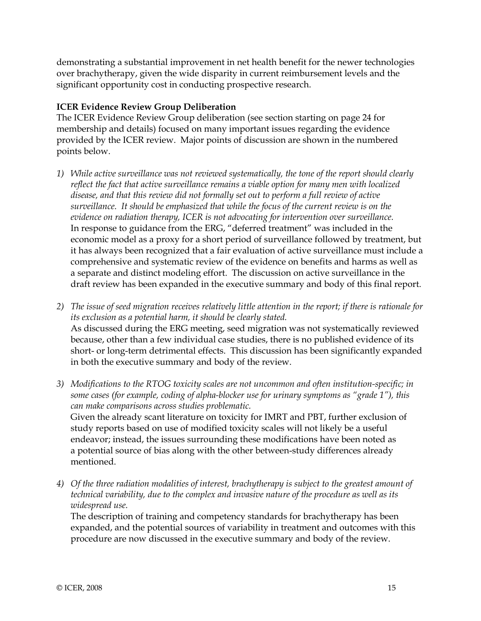demonstrating a substantial improvement in net health benefit for the newer technologies over brachytherapy, given the wide disparity in current reimbursement levels and the significant opportunity cost in conducting prospective research.

## **ICER Evidence Review Group Deliberation**

The ICER Evidence Review Group deliberation (see section starting on page 24 for membership and details) focused on many important issues regarding the evidence provided by the ICER review. Major points of discussion are shown in the numbered points below.

- *1) While active surveillance was not reviewed systematically, the tone of the report should clearly reflect the fact that active surveillance remains a viable option for many men with localized disease, and that this review did not formally set out to perform a full review of active surveillance. It should be emphasized that while the focus of the current review is on the evidence on radiation therapy, ICER is not advocating for intervention over surveillance.* In response to guidance from the ERG, "deferred treatment" was included in the economic model as a proxy for a short period of surveillance followed by treatment, but it has always been recognized that a fair evaluation of active surveillance must include a comprehensive and systematic review of the evidence on benefits and harms as well as a separate and distinct modeling effort. The discussion on active surveillance in the draft review has been expanded in the executive summary and body of this final report.
- *2) The issue of seed migration receives relatively little attention in the report; if there is rationale for its exclusion as a potential harm, it should be clearly stated.*  As discussed during the ERG meeting, seed migration was not systematically reviewed because, other than a few individual case studies, there is no published evidence of its short- or long-term detrimental effects. This discussion has been significantly expanded in both the executive summary and body of the review.
- *3) Modifications to the RTOG toxicity scales are not uncommon and often institution-specific; in some cases (for example, coding of alpha-blocker use for urinary symptoms as "grade 1"), this can make comparisons across studies problematic.*  Given the already scant literature on toxicity for IMRT and PBT, further exclusion of study reports based on use of modified toxicity scales will not likely be a useful endeavor; instead, the issues surrounding these modifications have been noted as a potential source of bias along with the other between-study differences already mentioned.
- *4) Of the three radiation modalities of interest, brachytherapy is subject to the greatest amount of technical variability, due to the complex and invasive nature of the procedure as well as its widespread use.*

The description of training and competency standards for brachytherapy has been expanded, and the potential sources of variability in treatment and outcomes with this procedure are now discussed in the executive summary and body of the review.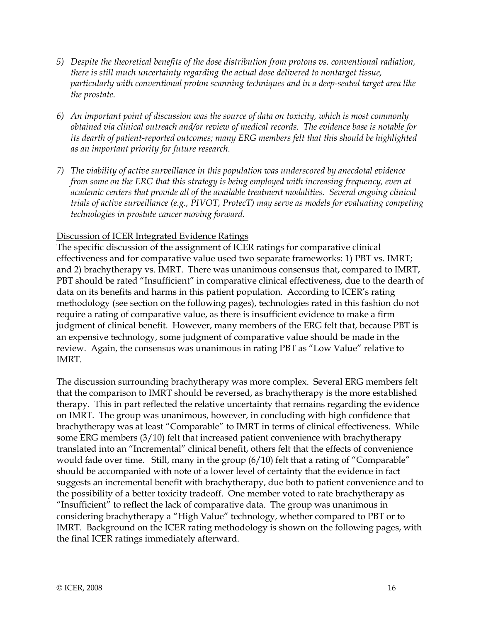- *5) Despite the theoretical benefits of the dose distribution from protons vs. conventional radiation, there is still much uncertainty regarding the actual dose delivered to nontarget tissue, particularly with conventional proton scanning techniques and in a deep-seated target area like the prostate.*
- *6) An important point of discussion was the source of data on toxicity, which is most commonly obtained via clinical outreach and/or review of medical records. The evidence base is notable for its dearth of patient-reported outcomes; many ERG members felt that this should be highlighted as an important priority for future research.*
- *7) The viability of active surveillance in this population was underscored by anecdotal evidence from some on the ERG that this strategy is being employed with increasing frequency, even at academic centers that provide all of the available treatment modalities. Several ongoing clinical trials of active surveillance (e.g., PIVOT, ProtecT) may serve as models for evaluating competing technologies in prostate cancer moving forward.*

#### Discussion of ICER Integrated Evidence Ratings

The specific discussion of the assignment of ICER ratings for comparative clinical effectiveness and for comparative value used two separate frameworks: 1) PBT vs. IMRT; and 2) brachytherapy vs. IMRT. There was unanimous consensus that, compared to IMRT, PBT should be rated "Insufficient" in comparative clinical effectiveness, due to the dearth of data on its benefits and harms in this patient population. According to ICER's rating methodology (see section on the following pages), technologies rated in this fashion do not require a rating of comparative value, as there is insufficient evidence to make a firm judgment of clinical benefit. However, many members of the ERG felt that, because PBT is an expensive technology, some judgment of comparative value should be made in the review. Again, the consensus was unanimous in rating PBT as "Low Value" relative to IMRT.

The discussion surrounding brachytherapy was more complex. Several ERG members felt that the comparison to IMRT should be reversed, as brachytherapy is the more established therapy. This in part reflected the relative uncertainty that remains regarding the evidence on IMRT. The group was unanimous, however, in concluding with high confidence that brachytherapy was at least "Comparable" to IMRT in terms of clinical effectiveness. While some ERG members (3/10) felt that increased patient convenience with brachytherapy translated into an "Incremental" clinical benefit, others felt that the effects of convenience would fade over time. Still, many in the group (6/10) felt that a rating of "Comparable" should be accompanied with note of a lower level of certainty that the evidence in fact suggests an incremental benefit with brachytherapy, due both to patient convenience and to the possibility of a better toxicity tradeoff. One member voted to rate brachytherapy as "Insufficient" to reflect the lack of comparative data. The group was unanimous in considering brachytherapy a "High Value" technology, whether compared to PBT or to IMRT. Background on the ICER rating methodology is shown on the following pages, with the final ICER ratings immediately afterward.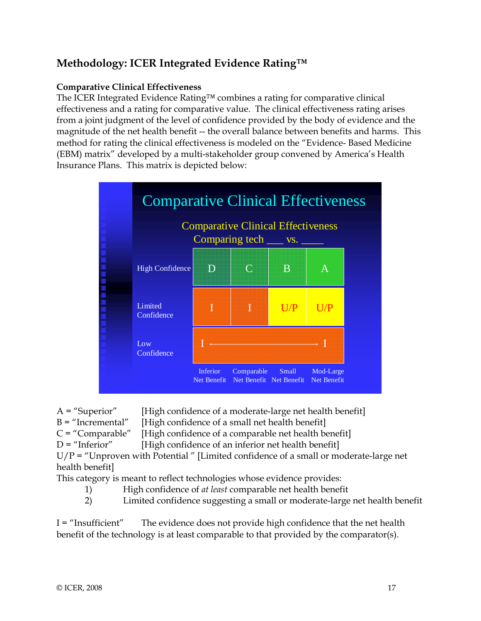## **Methodology: ICER Integrated Evidence Rating™**

## **Comparative Clinical Effectiveness**

The ICER Integrated Evidence Rating™ combines a rating for comparative clinical effectiveness and a rating for comparative value. The clinical effectiveness rating arises from a joint judgment of the level of confidence provided by the body of evidence and the magnitude of the net health benefit -- the overall balance between benefits and harms. This method for rating the clinical effectiveness is modeled on the "Evidence- Based Medicine (EBM) matrix" developed by a multi-stakeholder group convened by America's Health Insurance Plans. This matrix is depicted below:



 $A =$  "Superior" [High confidence of a moderate-large net health benefit]

- B = "Incremental" [High confidence of a small net health benefit]
- $C = "Comparable"$  [High confidence of a comparable net health benefit]
- $D =$  "Inferior" [High confidence of an inferior net health benefit]

 $U/P = "Unproven with Potential" [Limited confidence of a small or moderate-large net]$ health benefit]

This category is meant to reflect technologies whose evidence provides:

- 1) High confidence of *at least* comparable net health benefit
- 2) Limited confidence suggesting a small or moderate-large net health benefit

I = "Insufficient" The evidence does not provide high confidence that the net health benefit of the technology is at least comparable to that provided by the comparator(s).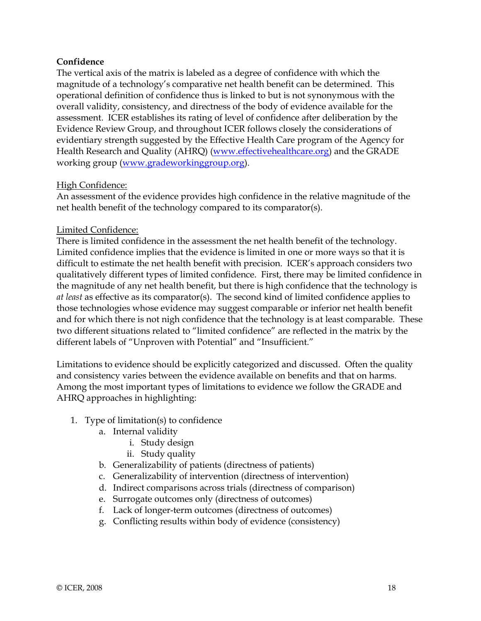#### **Confidence**

The vertical axis of the matrix is labeled as a degree of confidence with which the magnitude of a technology's comparative net health benefit can be determined. This operational definition of confidence thus is linked to but is not synonymous with the overall validity, consistency, and directness of the body of evidence available for the assessment. ICER establishes its rating of level of confidence after deliberation by the Evidence Review Group, and throughout ICER follows closely the considerations of evidentiary strength suggested by the Effective Health Care program of the Agency for Health Research and Quality (AHRQ) (www.effectivehealthcare.org) and the GRADE working group (www.gradeworkinggroup.org).

#### High Confidence:

An assessment of the evidence provides high confidence in the relative magnitude of the net health benefit of the technology compared to its comparator(s).

#### Limited Confidence:

There is limited confidence in the assessment the net health benefit of the technology. Limited confidence implies that the evidence is limited in one or more ways so that it is difficult to estimate the net health benefit with precision. ICER's approach considers two qualitatively different types of limited confidence. First, there may be limited confidence in the magnitude of any net health benefit, but there is high confidence that the technology is *at least* as effective as its comparator(s). The second kind of limited confidence applies to those technologies whose evidence may suggest comparable or inferior net health benefit and for which there is not nigh confidence that the technology is at least comparable. These two different situations related to "limited confidence" are reflected in the matrix by the different labels of "Unproven with Potential" and "Insufficient."

Limitations to evidence should be explicitly categorized and discussed. Often the quality and consistency varies between the evidence available on benefits and that on harms. Among the most important types of limitations to evidence we follow the GRADE and AHRQ approaches in highlighting:

- 1. Type of limitation(s) to confidence
	- a. Internal validity
		- i. Study design
		- ii. Study quality
	- b. Generalizability of patients (directness of patients)
	- c. Generalizability of intervention (directness of intervention)
	- d. Indirect comparisons across trials (directness of comparison)
	- e. Surrogate outcomes only (directness of outcomes)
	- f. Lack of longer-term outcomes (directness of outcomes)
	- g. Conflicting results within body of evidence (consistency)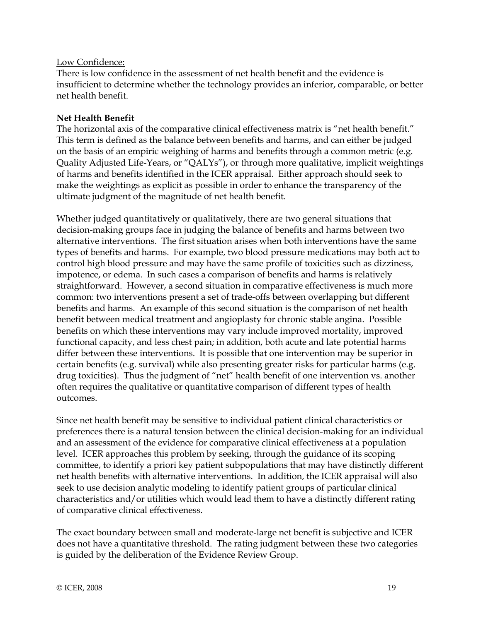#### Low Confidence:

There is low confidence in the assessment of net health benefit and the evidence is insufficient to determine whether the technology provides an inferior, comparable, or better net health benefit.

### **Net Health Benefit**

The horizontal axis of the comparative clinical effectiveness matrix is "net health benefit." This term is defined as the balance between benefits and harms, and can either be judged on the basis of an empiric weighing of harms and benefits through a common metric (e.g. Quality Adjusted Life-Years, or "QALYs"), or through more qualitative, implicit weightings of harms and benefits identified in the ICER appraisal. Either approach should seek to make the weightings as explicit as possible in order to enhance the transparency of the ultimate judgment of the magnitude of net health benefit.

Whether judged quantitatively or qualitatively, there are two general situations that decision-making groups face in judging the balance of benefits and harms between two alternative interventions. The first situation arises when both interventions have the same types of benefits and harms. For example, two blood pressure medications may both act to control high blood pressure and may have the same profile of toxicities such as dizziness, impotence, or edema. In such cases a comparison of benefits and harms is relatively straightforward. However, a second situation in comparative effectiveness is much more common: two interventions present a set of trade-offs between overlapping but different benefits and harms. An example of this second situation is the comparison of net health benefit between medical treatment and angioplasty for chronic stable angina. Possible benefits on which these interventions may vary include improved mortality, improved functional capacity, and less chest pain; in addition, both acute and late potential harms differ between these interventions. It is possible that one intervention may be superior in certain benefits (e.g. survival) while also presenting greater risks for particular harms (e.g. drug toxicities). Thus the judgment of "net" health benefit of one intervention vs. another often requires the qualitative or quantitative comparison of different types of health outcomes.

Since net health benefit may be sensitive to individual patient clinical characteristics or preferences there is a natural tension between the clinical decision-making for an individual and an assessment of the evidence for comparative clinical effectiveness at a population level. ICER approaches this problem by seeking, through the guidance of its scoping committee, to identify a priori key patient subpopulations that may have distinctly different net health benefits with alternative interventions. In addition, the ICER appraisal will also seek to use decision analytic modeling to identify patient groups of particular clinical characteristics and/or utilities which would lead them to have a distinctly different rating of comparative clinical effectiveness.

The exact boundary between small and moderate-large net benefit is subjective and ICER does not have a quantitative threshold. The rating judgment between these two categories is guided by the deliberation of the Evidence Review Group.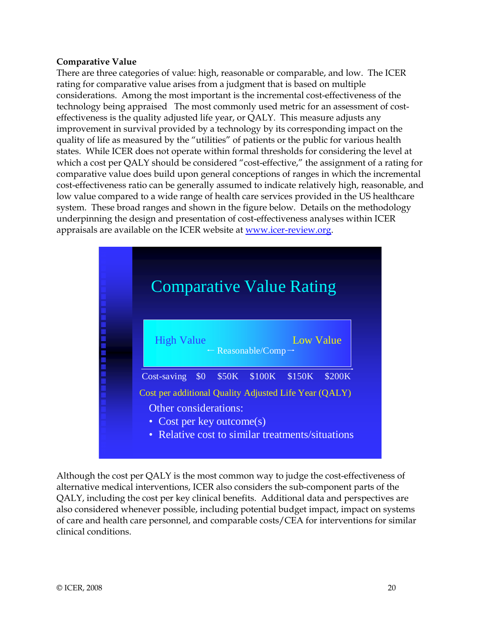#### **Comparative Value**

There are three categories of value: high, reasonable or comparable, and low. The ICER rating for comparative value arises from a judgment that is based on multiple considerations. Among the most important is the incremental cost-effectiveness of the technology being appraised The most commonly used metric for an assessment of costeffectiveness is the quality adjusted life year, or QALY. This measure adjusts any improvement in survival provided by a technology by its corresponding impact on the quality of life as measured by the "utilities" of patients or the public for various health states. While ICER does not operate within formal thresholds for considering the level at which a cost per QALY should be considered "cost-effective," the assignment of a rating for comparative value does build upon general conceptions of ranges in which the incremental cost-effectiveness ratio can be generally assumed to indicate relatively high, reasonable, and low value compared to a wide range of health care services provided in the US healthcare system. These broad ranges and shown in the figure below. Details on the methodology underpinning the design and presentation of cost-effectiveness analyses within ICER appraisals are available on the ICER website at www.icer-review.org.



Although the cost per QALY is the most common way to judge the cost-effectiveness of alternative medical interventions, ICER also considers the sub-component parts of the QALY, including the cost per key clinical benefits. Additional data and perspectives are also considered whenever possible, including potential budget impact, impact on systems of care and health care personnel, and comparable costs/CEA for interventions for similar clinical conditions.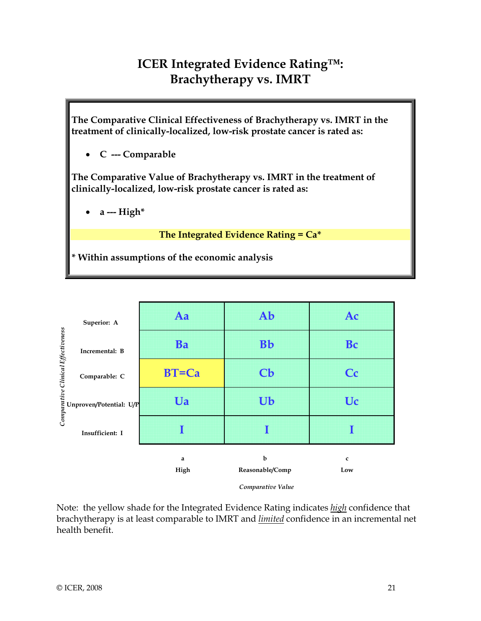# **ICER Integrated Evidence Rating™: Brachytherapy vs. IMRT**

**The Comparative Clinical Effectiveness of Brachytherapy vs. IMRT in the treatment of clinically-localized, low-risk prostate cancer is rated as:** 

• **C --- Comparable** 

**The Comparative Value of Brachytherapy vs. IMRT in the treatment of clinically-localized, low-risk prostate cancer is rated as:** 

• **a --- High\*** 

**The Integrated Evidence Rating = Ca\*** 

**\* Within assumptions of the economic analysis** 



*Comparative Value*

Note: the yellow shade for the Integrated Evidence Rating indicates *high* confidence that brachytherapy is at least comparable to IMRT and *limited* confidence in an incremental net health benefit.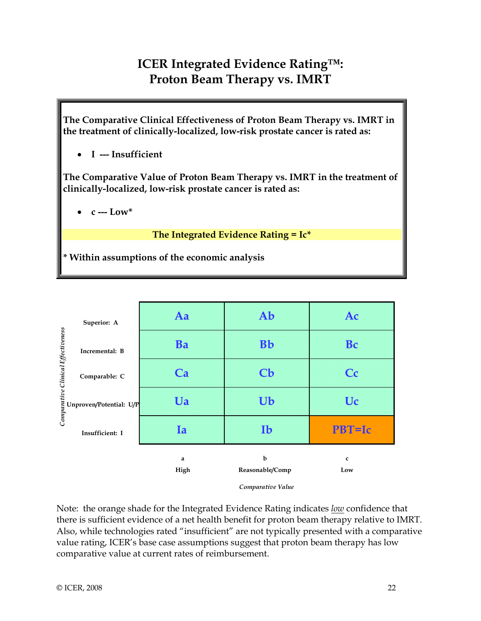# **ICER Integrated Evidence Rating™: Proton Beam Therapy vs. IMRT**

**The Comparative Clinical Effectiveness of Proton Beam Therapy vs. IMRT in the treatment of clinically-localized, low-risk prostate cancer is rated as:** 

• **I --- Insufficient** 

**The Comparative Value of Proton Beam Therapy vs. IMRT in the treatment of clinically-localized, low-risk prostate cancer is rated as:** 

• **c --- Low\*** 

 **The Integrated Evidence Rating = Ic\*** 

**\* Within assumptions of the economic analysis** 



*Comparative Value*

Note: the orange shade for the Integrated Evidence Rating indicates *low* confidence that there is sufficient evidence of a net health benefit for proton beam therapy relative to IMRT. Also, while technologies rated "insufficient" are not typically presented with a comparative value rating, ICER's base case assumptions suggest that proton beam therapy has low comparative value at current rates of reimbursement.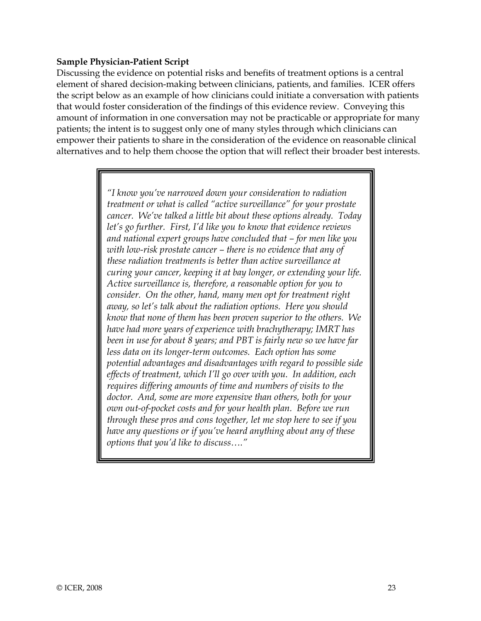#### **Sample Physician-Patient Script**

Discussing the evidence on potential risks and benefits of treatment options is a central element of shared decision-making between clinicians, patients, and families. ICER offers the script below as an example of how clinicians could initiate a conversation with patients that would foster consideration of the findings of this evidence review. Conveying this amount of information in one conversation may not be practicable or appropriate for many patients; the intent is to suggest only one of many styles through which clinicians can empower their patients to share in the consideration of the evidence on reasonable clinical alternatives and to help them choose the option that will reflect their broader best interests.

> *"I know you've narrowed down your consideration to radiation treatment or what is called "active surveillance" for your prostate cancer. We've talked a little bit about these options already. Today let's go further. First, I'd like you to know that evidence reviews and national expert groups have concluded that – for men like you with low-risk prostate cancer – there is no evidence that any of these radiation treatments is better than active surveillance at curing your cancer, keeping it at bay longer, or extending your life. Active surveillance is, therefore, a reasonable option for you to consider. On the other, hand, many men opt for treatment right away, so let's talk about the radiation options. Here you should know that none of them has been proven superior to the others. We have had more years of experience with brachytherapy; IMRT has been in use for about 8 years; and PBT is fairly new so we have far less data on its longer-term outcomes. Each option has some potential advantages and disadvantages with regard to possible side effects of treatment, which I'll go over with you. In addition, each requires differing amounts of time and numbers of visits to the doctor. And, some are more expensive than others, both for your own out-of-pocket costs and for your health plan. Before we run through these pros and cons together, let me stop here to see if you have any questions or if you've heard anything about any of these options that you'd like to discuss…."*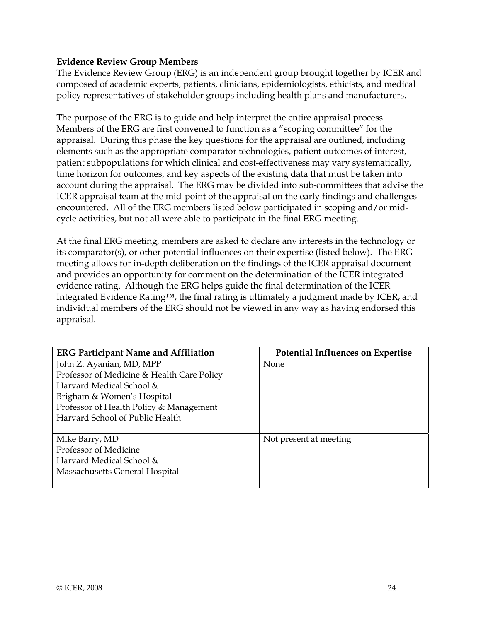#### **Evidence Review Group Members**

The Evidence Review Group (ERG) is an independent group brought together by ICER and composed of academic experts, patients, clinicians, epidemiologists, ethicists, and medical policy representatives of stakeholder groups including health plans and manufacturers.

The purpose of the ERG is to guide and help interpret the entire appraisal process. Members of the ERG are first convened to function as a "scoping committee" for the appraisal. During this phase the key questions for the appraisal are outlined, including elements such as the appropriate comparator technologies, patient outcomes of interest, patient subpopulations for which clinical and cost-effectiveness may vary systematically, time horizon for outcomes, and key aspects of the existing data that must be taken into account during the appraisal. The ERG may be divided into sub-committees that advise the ICER appraisal team at the mid-point of the appraisal on the early findings and challenges encountered. All of the ERG members listed below participated in scoping and/or midcycle activities, but not all were able to participate in the final ERG meeting.

At the final ERG meeting, members are asked to declare any interests in the technology or its comparator(s), or other potential influences on their expertise (listed below). The ERG meeting allows for in-depth deliberation on the findings of the ICER appraisal document and provides an opportunity for comment on the determination of the ICER integrated evidence rating. Although the ERG helps guide the final determination of the ICER Integrated Evidence Rating™, the final rating is ultimately a judgment made by ICER, and individual members of the ERG should not be viewed in any way as having endorsed this appraisal.

| <b>ERG Participant Name and Affiliation</b> | <b>Potential Influences on Expertise</b> |
|---------------------------------------------|------------------------------------------|
| John Z. Ayanian, MD, MPP                    | None                                     |
| Professor of Medicine & Health Care Policy  |                                          |
| Harvard Medical School &                    |                                          |
| Brigham & Women's Hospital                  |                                          |
| Professor of Health Policy & Management     |                                          |
| Harvard School of Public Health             |                                          |
|                                             |                                          |
| Mike Barry, MD                              | Not present at meeting                   |
| Professor of Medicine                       |                                          |
| Harvard Medical School &                    |                                          |
| Massachusetts General Hospital              |                                          |
|                                             |                                          |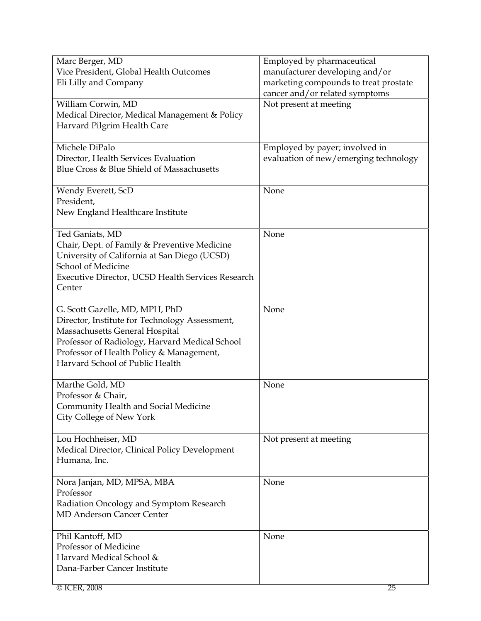| Marc Berger, MD                                   | Employed by pharmaceutical            |
|---------------------------------------------------|---------------------------------------|
| Vice President, Global Health Outcomes            | manufacturer developing and/or        |
| Eli Lilly and Company                             | marketing compounds to treat prostate |
|                                                   | cancer and/or related symptoms        |
| William Corwin, MD                                | Not present at meeting                |
| Medical Director, Medical Management & Policy     |                                       |
| Harvard Pilgrim Health Care                       |                                       |
|                                                   |                                       |
| Michele DiPalo                                    | Employed by payer; involved in        |
| Director, Health Services Evaluation              | evaluation of new/emerging technology |
| Blue Cross & Blue Shield of Massachusetts         |                                       |
|                                                   |                                       |
| Wendy Everett, ScD                                | None                                  |
| President,                                        |                                       |
| New England Healthcare Institute                  |                                       |
|                                                   |                                       |
| Ted Ganiats, MD                                   | None                                  |
| Chair, Dept. of Family & Preventive Medicine      |                                       |
| University of California at San Diego (UCSD)      |                                       |
| School of Medicine                                |                                       |
| Executive Director, UCSD Health Services Research |                                       |
| Center                                            |                                       |
|                                                   |                                       |
| G. Scott Gazelle, MD, MPH, PhD                    | None                                  |
| Director, Institute for Technology Assessment,    |                                       |
| Massachusetts General Hospital                    |                                       |
| Professor of Radiology, Harvard Medical School    |                                       |
| Professor of Health Policy & Management,          |                                       |
| Harvard School of Public Health                   |                                       |
|                                                   |                                       |
| Marthe Gold, MD                                   | None                                  |
| Professor & Chair,                                |                                       |
| Community Health and Social Medicine              |                                       |
| City College of New York                          |                                       |
|                                                   |                                       |
| Lou Hochheiser, MD                                | Not present at meeting                |
| Medical Director, Clinical Policy Development     |                                       |
| Humana, Inc.                                      |                                       |
|                                                   |                                       |
| Nora Janjan, MD, MPSA, MBA                        | None                                  |
| Professor                                         |                                       |
| Radiation Oncology and Symptom Research           |                                       |
| <b>MD Anderson Cancer Center</b>                  |                                       |
|                                                   |                                       |
| Phil Kantoff, MD                                  | None                                  |
| Professor of Medicine                             |                                       |
| Harvard Medical School &                          |                                       |
| Dana-Farber Cancer Institute                      |                                       |
|                                                   |                                       |
| © ICER, 2008                                      | 25                                    |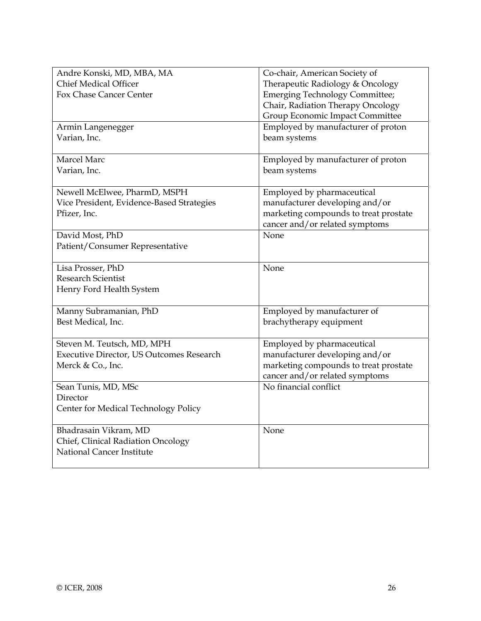| Andre Konski, MD, MBA, MA                       | Co-chair, American Society of         |
|-------------------------------------------------|---------------------------------------|
| <b>Chief Medical Officer</b>                    | Therapeutic Radiology & Oncology      |
| Fox Chase Cancer Center                         | <b>Emerging Technology Committee;</b> |
|                                                 | Chair, Radiation Therapy Oncology     |
|                                                 | Group Economic Impact Committee       |
| Armin Langenegger                               | Employed by manufacturer of proton    |
| Varian, Inc.                                    | beam systems                          |
| Marcel Marc                                     | Employed by manufacturer of proton    |
| Varian, Inc.                                    | beam systems                          |
| Newell McElwee, PharmD, MSPH                    | Employed by pharmaceutical            |
| Vice President, Evidence-Based Strategies       | manufacturer developing and/or        |
| Pfizer, Inc.                                    | marketing compounds to treat prostate |
|                                                 | cancer and/or related symptoms        |
| David Most, PhD                                 | None                                  |
| Patient/Consumer Representative                 |                                       |
| Lisa Prosser, PhD                               | None                                  |
| <b>Research Scientist</b>                       |                                       |
| Henry Ford Health System                        |                                       |
| Manny Subramanian, PhD                          | Employed by manufacturer of           |
| Best Medical, Inc.                              | brachytherapy equipment               |
| Steven M. Teutsch, MD, MPH                      | Employed by pharmaceutical            |
| <b>Executive Director, US Outcomes Research</b> | manufacturer developing and/or        |
| Merck & Co., Inc.                               | marketing compounds to treat prostate |
|                                                 | cancer and/or related symptoms        |
| Sean Tunis, MD, MSc                             | No financial conflict                 |
| Director                                        |                                       |
| Center for Medical Technology Policy            |                                       |
| Bhadrasain Vikram, MD                           | None                                  |
| Chief, Clinical Radiation Oncology              |                                       |
| National Cancer Institute                       |                                       |
|                                                 |                                       |